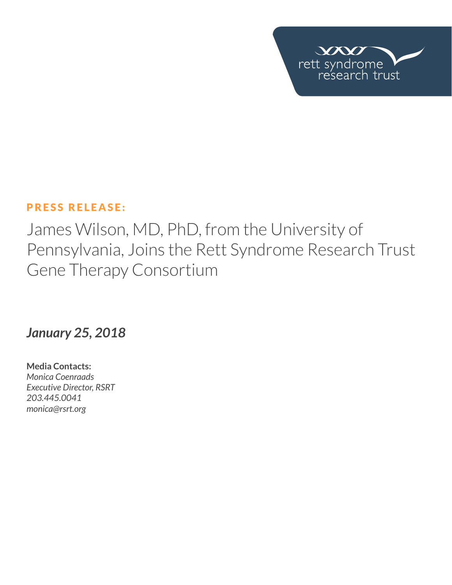

## PRESS RELEASE:

James Wilson, MD, PhD, from the University of Pennsylvania, Joins the Rett Syndrome Research Trust Gene Therapy Consortium

## *January 25, 2018*

**Media Contacts:**  *Monica Coenraads Executive Director, RSRT 203.445.0041 [monica@rsrt.org](mailto:monica%40rsrt.org?subject=Press%20Release%20%7C%20CSO%20Announce)*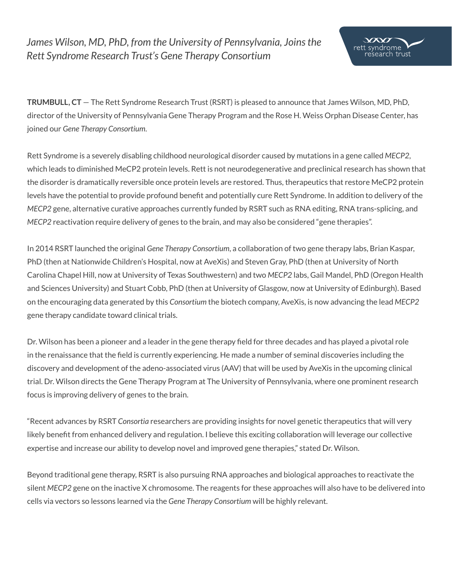*James Wilson, MD, PhD, from the University of Pennsylvania, Joins the Rett Syndrome Research Trust's Gene Therapy Consortium*

**TRUMBULL, CT** — The Rett Syndrome Research Trust (RSRT) is pleased to announce that James Wilson, MD, PhD, director of the University of Pennsylvania Gene Therapy Program and the Rose H. Weiss Orphan Disease Center, has joined our *Gene Therapy Consortium*.

Rett Syndrome is a severely disabling childhood neurological disorder caused by mutations in a gene called *MECP2*, which leads to diminished MeCP2 protein levels. Rett is not neurodegenerative and preclinical research has shown that the disorder is dramatically reversible once protein levels are restored. Thus, therapeutics that restore MeCP2 protein levels have the potential to provide profound benefit and potentially cure Rett Syndrome. In addition to delivery of the *MECP2* gene, alternative curative approaches currently funded by RSRT such as RNA editing, RNA trans-splicing, and *MECP2* reactivation require delivery of genes to the brain, and may also be considered "gene therapies".

In 2014 RSRT launched the original *Gene Therapy Consortium*, a collaboration of two gene therapy labs, Brian Kaspar, PhD (then at Nationwide Children's Hospital, now at AveXis) and Steven Gray, PhD (then at University of North Carolina Chapel Hill, now at University of Texas Southwestern) and two *MECP2* labs, Gail Mandel, PhD (Oregon Health and Sciences University) and Stuart Cobb, PhD (then at University of Glasgow, now at University of Edinburgh). Based on the encouraging data generated by this *Consortium* the biotech company, AveXis, is now advancing the lead *MECP2* gene therapy candidate toward clinical trials.

Dr. Wilson has been a pioneer and a leader in the gene therapy field for three decades and has played a pivotal role in the renaissance that the field is currently experiencing. He made a number of seminal discoveries including the discovery and development of the adeno-associated virus (AAV) that will be used by AveXis in the upcoming clinical trial. Dr. Wilson directs the Gene Therapy Program at The University of Pennsylvania, where one prominent research focus is improving delivery of genes to the brain.

"Recent advances by RSRT *Consortia* researchers are providing insights for novel genetic therapeutics that will very likely benefit from enhanced delivery and regulation. I believe this exciting collaboration will leverage our collective expertise and increase our ability to develop novel and improved gene therapies," stated Dr. Wilson.

Beyond traditional gene therapy, RSRT is also pursuing RNA approaches and biological approaches to reactivate the silent *MECP2* gene on the inactive X chromosome. The reagents for these approaches will also have to be delivered into cells via vectors so lessons learned via the *Gene Therapy Consortium* will be highly relevant.